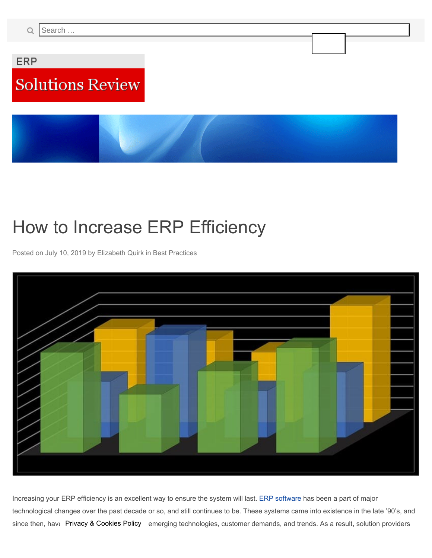<span id="page-0-0"></span>**ERP** 

# **Solutions Review**

## How to Increase ERP Efficiency

Posted on [July 10, 2019](#page-0-0) by Elizabeth Quirk in Best Practices



Increasing your ERP efficiency is an excellent way to ensure the system will last. ERP software has been a part of major technological changes over the past decade or so, and still continues to be. These systems came into existence in the late '90's, and since then, hav $\epsilon$  Privacy & Cookies Policy emerging technologies, customer demands, and trends. As a result, solution providers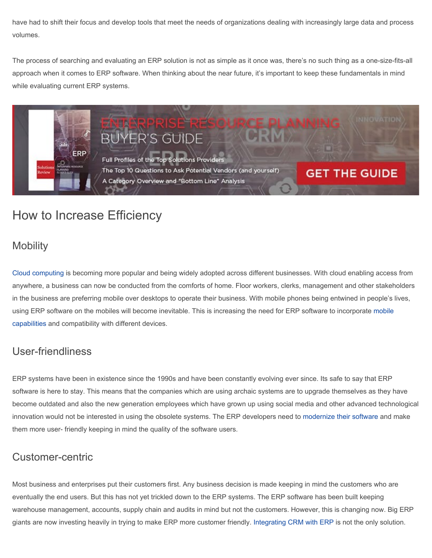have had to shift their focus and develop tools that meet the needs of organizations dealing with increasingly large data and process volumes.

The process of searching and evaluating an ERP solution is not as simple as it once was, there's no such thing as a one-size-fits-all approach when it comes to ERP software. When thinking about the near future, it's important to keep these fundamentals in mind while evaluating current ERP systems.



### How to Increase Efficiency

#### **Mobility**

Cloud computing is becoming more popular and being widely adopted across different businesses. With cloud enabling access from anywhere, a business can now be conducted from the comforts of home. Floor workers, clerks, management and other stakeholders in the business are preferring mobile over desktops to operate their business. With mobile phones being entwined in people's lives, using ERP software on the mobiles will become inevitable. This is increasing the need for ERP software to incorporate mobile capabilities and compatibility with different devices.

#### User-friendliness

ERP systems have been in existence since the 1990s and have been constantly evolving ever since. Its safe to say that ERP software is here to stay. This means that the companies which are using archaic systems are to upgrade themselves as they have become outdated and also the new generation employees which have grown up using social media and other advanced technological innovation would not be interested in using the obsolete systems. The ERP developers need to modernize their software and make them more user- friendly keeping in mind the quality of the software users.

#### Customer-centric

Most business and enterprises put their customers first. Any business decision is made keeping in mind the customers who are eventually the end users. But this has not yet trickled down to the ERP systems. The ERP software has been built keeping warehouse management, accounts, supply chain and audits in mind but not the customers. However, this is changing now. Big ERP giants are now investing heavily in trying to make ERP more customer friendly. Integrating CRM with ERP is not the only solution.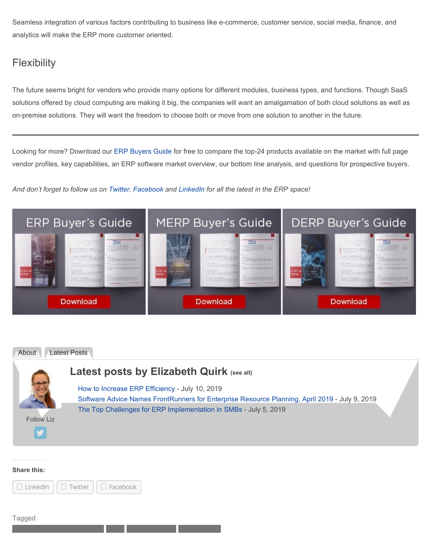Seamless integration of various factors contributing to business like e-commerce, customer service, social media, finance, and analytics will make the ERP more customer oriented.

### **Flexibility**

The future seems bright for vendors who provide many options for different modules, business types, and functions. Though SaaS solutions offered by cloud computing are making it big, the companies will want an amalgamation of both cloud solutions as well as on-premise solutions. They will want the freedom to choose both or move from one solution to another in the future.

Looking for more? Download our ERP Buyers Guide for free to compare the top-24 products available on the market with full page vendor profiles, key capabilities, an ERP software market overview, our bottom line analysis, and questions for prospective buyers.

*And don't forget to follow us on Twitter, Facebook and LinkedIn for all the latest in the ERP space!*





#### **Share this:**



Tagged